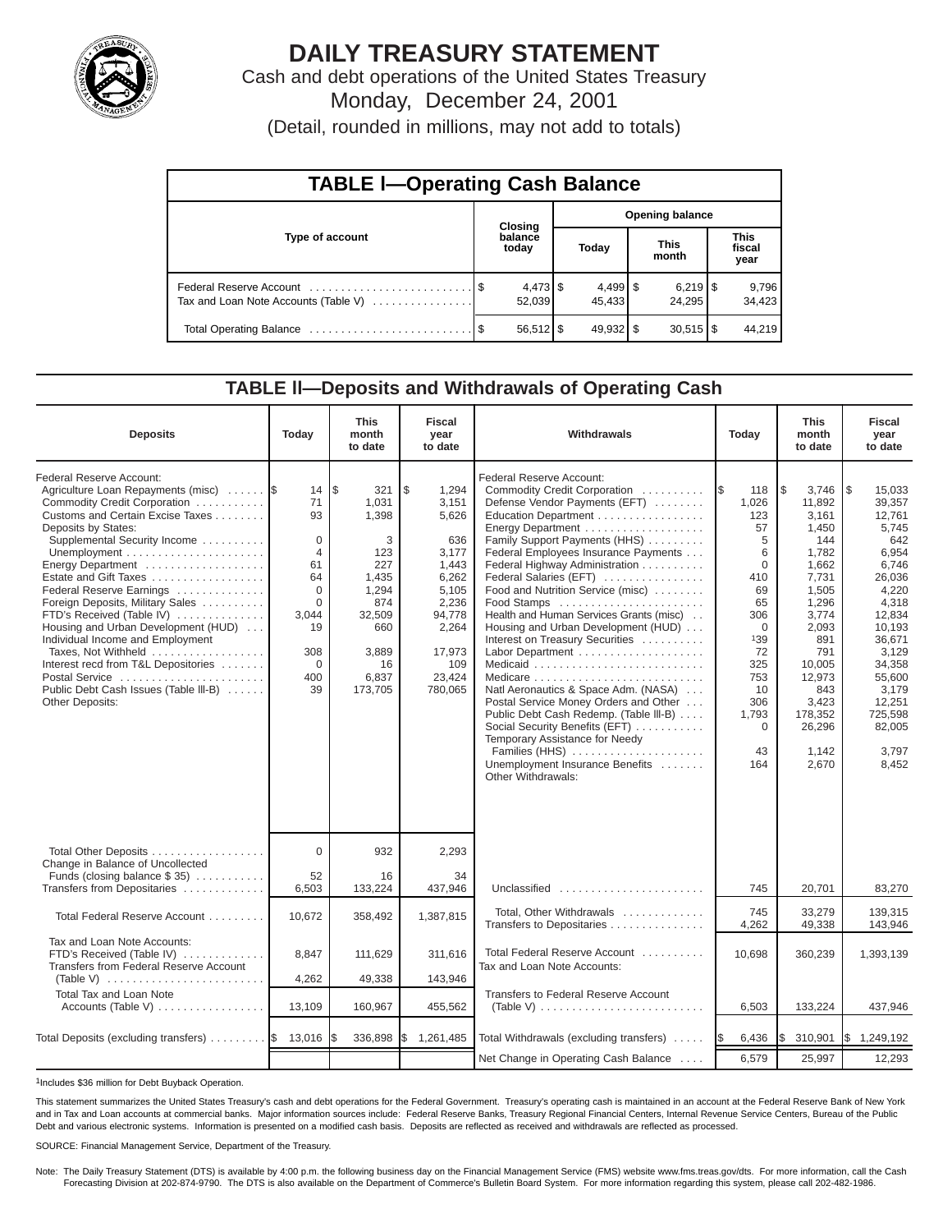

# **DAILY TREASURY STATEMENT**

Cash and debt operations of the United States Treasury Monday, December 24, 2001

(Detail, rounded in millions, may not add to totals)

| <b>TABLE I-Operating Cash Balance</b> |  |                      |  |                              |  |                                 |  |                               |  |
|---------------------------------------|--|----------------------|--|------------------------------|--|---------------------------------|--|-------------------------------|--|
|                                       |  | <b>Closing</b>       |  | <b>Opening balance</b>       |  |                                 |  |                               |  |
| Type of account                       |  | balance<br>today     |  | Today                        |  | <b>This</b><br>month            |  | <b>This</b><br>fiscal<br>year |  |
| Tax and Loan Note Accounts (Table V)  |  | $4,473$ \$<br>52,039 |  | $4,499$ $\sqrt{5}$<br>45.433 |  | $6,219$ $\frac{8}{3}$<br>24.295 |  | 9,796<br>34,423               |  |
|                                       |  | $56,512$ \$          |  | $49,932$ \$                  |  | $30,515$ $\frac{1}{3}$          |  | 44,219                        |  |

#### **TABLE ll—Deposits and Withdrawals of Operating Cash**

| <b>Deposits</b>                                                                                                                                                                                                                                                                                                                                                                                                                                                                                                                                             | Today                                                                                                                       | <b>This</b><br>month<br>to date                                                                                              | <b>Fiscal</b><br>year<br>to date                                                                                                           | Withdrawals<br>Today                                                                                                                                                                                                                                                                                                                                                                                                                                                                                                                                                                                                                                                                                                                                                  |                                                                                                                                                                              | <b>This</b><br>month<br>to date                                                                                                                                                                       | <b>Fiscal</b><br>year<br>to date                                                                                                                                                                                     |
|-------------------------------------------------------------------------------------------------------------------------------------------------------------------------------------------------------------------------------------------------------------------------------------------------------------------------------------------------------------------------------------------------------------------------------------------------------------------------------------------------------------------------------------------------------------|-----------------------------------------------------------------------------------------------------------------------------|------------------------------------------------------------------------------------------------------------------------------|--------------------------------------------------------------------------------------------------------------------------------------------|-----------------------------------------------------------------------------------------------------------------------------------------------------------------------------------------------------------------------------------------------------------------------------------------------------------------------------------------------------------------------------------------------------------------------------------------------------------------------------------------------------------------------------------------------------------------------------------------------------------------------------------------------------------------------------------------------------------------------------------------------------------------------|------------------------------------------------------------------------------------------------------------------------------------------------------------------------------|-------------------------------------------------------------------------------------------------------------------------------------------------------------------------------------------------------|----------------------------------------------------------------------------------------------------------------------------------------------------------------------------------------------------------------------|
| Federal Reserve Account:<br>Agriculture Loan Repayments (misc)<br>Commodity Credit Corporation<br>Customs and Certain Excise Taxes<br>Deposits by States:<br>Supplemental Security Income<br>Energy Department<br>Estate and Gift Taxes<br>Federal Reserve Earnings<br>Foreign Deposits, Military Sales<br>FTD's Received (Table IV)<br>Housing and Urban Development (HUD)<br>Individual Income and Employment<br>Taxes, Not Withheld<br>Interest recd from T&L Depositories<br>Postal Service<br>Public Debt Cash Issues (Table III-B)<br>Other Deposits: | 14<br>71<br>93<br>$\mathbf 0$<br>$\overline{4}$<br>61<br>64<br>$\Omega$<br>$\Omega$<br>3.044<br>19<br>308<br>0<br>400<br>39 | l\$<br>321<br>1,031<br>1,398<br>3<br>123<br>227<br>1,435<br>1,294<br>874<br>32,509<br>660<br>3,889<br>16<br>6,837<br>173,705 | \$<br>1,294<br>3,151<br>5,626<br>636<br>3.177<br>1.443<br>6,262<br>5,105<br>2,236<br>94,778<br>2,264<br>17,973<br>109<br>23,424<br>780,065 | <b>Federal Reserve Account:</b><br>Commodity Credit Corporation<br>Defense Vendor Payments (EFT)<br>Education Department<br>Energy Department<br>Family Support Payments (HHS)<br>Federal Employees Insurance Payments<br>Federal Highway Administration<br>Federal Salaries (EFT)<br>Food and Nutrition Service (misc)<br>Food Stamps<br>Health and Human Services Grants (misc)<br>Housing and Urban Development (HUD)<br>Interest on Treasury Securities<br>Labor Department<br>Medicaid<br>Natl Aeronautics & Space Adm. (NASA)<br>Postal Service Money Orders and Other<br>Public Debt Cash Redemp. (Table III-B)<br>Social Security Benefits (EFT)<br>Temporary Assistance for Needy<br>Families (HHS)<br>Unemployment Insurance Benefits<br>Other Withdrawals: | 1\$<br>118<br>1,026<br>123<br>57<br>5<br>6<br>$\Omega$<br>410<br>69<br>65<br>306<br>$\mathbf 0$<br>139<br>72<br>325<br>753<br>10<br>306<br>1,793<br>$\mathbf 0$<br>43<br>164 | 5<br>3,746<br>11,892<br>3,161<br>1,450<br>144<br>1,782<br>1.662<br>7,731<br>1,505<br>1,296<br>3,774<br>2,093<br>891<br>791<br>10,005<br>12,973<br>843<br>3,423<br>178,352<br>26,296<br>1.142<br>2,670 | 1\$<br>15,033<br>39,357<br>12,761<br>5,745<br>642<br>6,954<br>6.746<br>26,036<br>4,220<br>4,318<br>12.834<br>10.193<br>36,671<br>3,129<br>34,358<br>55,600<br>3,179<br>12,251<br>725,598<br>82,005<br>3.797<br>8,452 |
| Total Other Deposits<br>Change in Balance of Uncollected<br>Funds (closing balance $$35$ )                                                                                                                                                                                                                                                                                                                                                                                                                                                                  | $\Omega$<br>52                                                                                                              | 932<br>16                                                                                                                    | 2,293<br>34                                                                                                                                |                                                                                                                                                                                                                                                                                                                                                                                                                                                                                                                                                                                                                                                                                                                                                                       |                                                                                                                                                                              |                                                                                                                                                                                                       |                                                                                                                                                                                                                      |
| Transfers from Depositaries                                                                                                                                                                                                                                                                                                                                                                                                                                                                                                                                 | 6,503                                                                                                                       | 133,224                                                                                                                      | 437,946                                                                                                                                    | Unclassified                                                                                                                                                                                                                                                                                                                                                                                                                                                                                                                                                                                                                                                                                                                                                          | 745                                                                                                                                                                          | 20,701                                                                                                                                                                                                | 83,270                                                                                                                                                                                                               |
| Total Federal Reserve Account                                                                                                                                                                                                                                                                                                                                                                                                                                                                                                                               | 10.672                                                                                                                      | 358,492                                                                                                                      | 1,387,815                                                                                                                                  | Total, Other Withdrawals<br>Transfers to Depositaries                                                                                                                                                                                                                                                                                                                                                                                                                                                                                                                                                                                                                                                                                                                 | 745<br>4,262                                                                                                                                                                 | 33.279<br>49,338                                                                                                                                                                                      | 139.315<br>143,946                                                                                                                                                                                                   |
| Tax and Loan Note Accounts:<br>FTD's Received (Table IV)<br>Transfers from Federal Reserve Account                                                                                                                                                                                                                                                                                                                                                                                                                                                          | 8,847                                                                                                                       | 111,629                                                                                                                      | 311.616                                                                                                                                    | Total Federal Reserve Account<br>Tax and Loan Note Accounts:                                                                                                                                                                                                                                                                                                                                                                                                                                                                                                                                                                                                                                                                                                          | 10,698                                                                                                                                                                       | 360,239                                                                                                                                                                                               | 1,393,139                                                                                                                                                                                                            |
| Total Tax and Loan Note                                                                                                                                                                                                                                                                                                                                                                                                                                                                                                                                     | 4,262                                                                                                                       | 49,338                                                                                                                       | 143,946                                                                                                                                    | Transfers to Federal Reserve Account                                                                                                                                                                                                                                                                                                                                                                                                                                                                                                                                                                                                                                                                                                                                  |                                                                                                                                                                              |                                                                                                                                                                                                       |                                                                                                                                                                                                                      |
| Accounts (Table V)                                                                                                                                                                                                                                                                                                                                                                                                                                                                                                                                          | 13,109                                                                                                                      | 160,967                                                                                                                      | 455,562                                                                                                                                    | (Table V) $\ldots \ldots \ldots \ldots \ldots \ldots \ldots \ldots$                                                                                                                                                                                                                                                                                                                                                                                                                                                                                                                                                                                                                                                                                                   | 6,503                                                                                                                                                                        | 133,224                                                                                                                                                                                               | 437,946                                                                                                                                                                                                              |
| Total Deposits (excluding transfers)  S 13,016                                                                                                                                                                                                                                                                                                                                                                                                                                                                                                              |                                                                                                                             | 336,898                                                                                                                      | 1\$<br>1,261,485                                                                                                                           | Total Withdrawals (excluding transfers)                                                                                                                                                                                                                                                                                                                                                                                                                                                                                                                                                                                                                                                                                                                               | 6,436<br>IS.                                                                                                                                                                 | I\$<br>310,901                                                                                                                                                                                        | I\$<br>1,249,192                                                                                                                                                                                                     |
|                                                                                                                                                                                                                                                                                                                                                                                                                                                                                                                                                             |                                                                                                                             |                                                                                                                              |                                                                                                                                            | Net Change in Operating Cash Balance                                                                                                                                                                                                                                                                                                                                                                                                                                                                                                                                                                                                                                                                                                                                  | 6,579                                                                                                                                                                        | 25,997                                                                                                                                                                                                | 12,293                                                                                                                                                                                                               |

1Includes \$36 million for Debt Buyback Operation.

This statement summarizes the United States Treasury's cash and debt operations for the Federal Government. Treasury's operating cash is maintained in an account at the Federal Reserve Bank of New York and in Tax and Loan accounts at commercial banks. Major information sources include: Federal Reserve Banks, Treasury Regional Financial Centers, Internal Revenue Service Centers, Bureau of the Public Debt and various electronic systems. Information is presented on a modified cash basis. Deposits are reflected as received and withdrawals are reflected as processed.

SOURCE: Financial Management Service, Department of the Treasury.

Note: The Daily Treasury Statement (DTS) is available by 4:00 p.m. the following business day on the Financial Management Service (FMS) website www.fms.treas.gov/dts. For more information, call the Cash Forecasting Division at 202-874-9790. The DTS is also available on the Department of Commerce's Bulletin Board System. For more information regarding this system, please call 202-482-1986.